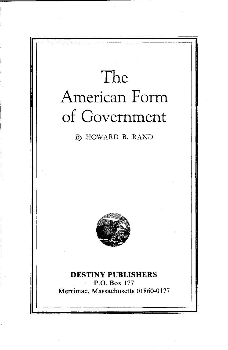# **The American Form of Government**

By HOWARD B. RAND



### **DESTINY PUBLISHERS** P.O. Box 177 Merrimac, Massachusetts 01860-0177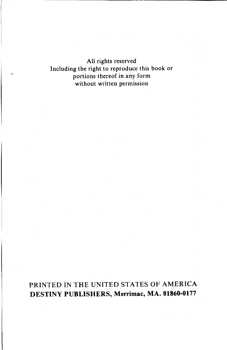All rights reserved Including the right to reproduce this book or portions thereof in any form without written permission

## PRINTED IN THE UNITED STATES OF AMERICA **DESTINY PUBLISHERS, Merrimac, MA. 01860-0177**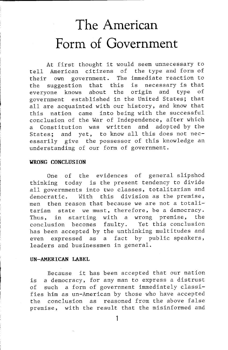# **The American Form of Government**

At first thought it would seem unnecessary to tell American citizens of the type and form of their own government. The immediate reaction to the suggestion that this is necessary is that<br>everyone knows about the origin and type of everyone knows about the origin and type of government established in the United States; that all are acquainted with our history, and know that this nation came into being with the successful conclusion of the War of Independence, after which a Constitution was written and adopted by the States; and yet, to know all this does not necessarily give the possessor of this knowledge an understanding of our form of government.

#### WRONG CONCLUSION

One of the evidences of general slipshod thinking today is the present tendency to divide all governments into two classes, totalitarian and democratic. With this division as the premise, men then reason that because we are not a totalitarian state we must, therefore, be a democracy. Thus, in starting with a wrong premise, the conclusion becomes faulty. Yet this conclusion has been accepted by the unthinking multitudes and even expressed as a fact by public speakers, leaders and businessmen in general.

#### UN-AMERICAN LABEL

Because it has been accepted that our nation is a democracy, for any man to express a distrust of such a form of government immediately classifies him as un-American by those who have accepted the conclusion as reasoned from the above false premise, with the result that the misinformed and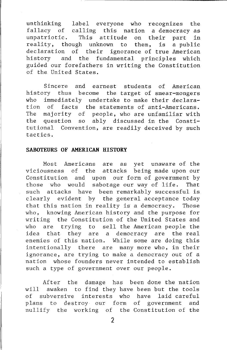unthinking label everyone who recognizes the fallacy of calling this nation a democracy as unpatriotic. This attitude on their part in reality, though unknown to them, is a public declaration of their ignorance of true American history and the fundamental principles which guided our forefathers in writing the Constitution of the United States.

Sincere and earnest students of American history thus become the target of smear-mongers who immediately undertake to make their declaration of facts the statements of anti-Americans. The majority of people, who are unfamiliar with the question so ably discussed in the Constitutional Convention, are readily deceived by such tactics.

#### SABOTEURS OF AMERICAN HISTORY

Most Americans are as yet unaware of the viciousness of the attacks being made upon our Constitution and upon our form of government by those who would sabotage our way of life. That such attacks have been remarkably successful is clearly evident by the general acceptance today that this nation in reality is a democracy. Those who, knowing American history and the purpose for writing the Constitution of the United States and who are trying to sell the American people the idea that they are a democracy are the real enemies of this nation. While some are doing this intentionally there are many more who, in their ignorance, are trying to make a democracy out of a nation whose founders never intended to establish such a type of government over our people.

After the damage has been done the nation will awaken to find they have been but the tools of subversive interests who have laid careful plans to destroy our form of government and nullify the working of the Constitution of the

 $\overline{\phantom{a}}$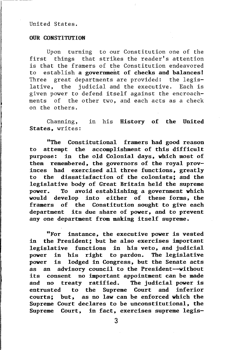#### United States.

#### **OUR CONSTITUTION**

Upon turning to our Constitution one of the first things that strikes the reader's attention is that the framers of the Constitution endeavored to establish a government of checks and balances! Three great departments are provided: the legislative, the judicial and the executive. Each is given power to defend itself against the encroachments of the other two, and each acts as a check on the others.

Channing, in his History of the United States, writes:

"The Constitutional framers had good reason to attempt the accomplishment of this difficult purpose: in the old Colonial days, which most of them remembered, the governors of the royal provinces had exercised all three functions, greatly to the dissatisfaction of the colonists; and the legislative body of Great Britain held the supreme power. To avoid establishing a government which would develop into either of these forms, the framers of the Constitution sought to give each department its due share of power, and to prevent anyone department from making itself supreme.

"For instance, the executive power is vested in the President; but he also exercises important legislative functions in his veto, and judicial power in his right to pardon. The legislative power is lodged in Congress, but the Senate acts as an advisory council to the President--without its consent no important appointment can be made and no treaty ratified. The judicial power is entrusted to the Supreme Court and inferior courts; but, as no law can be enforced which the Supreme Court declares to be unconstitutional, the Supreme Court, in fact, exercises supreme legis-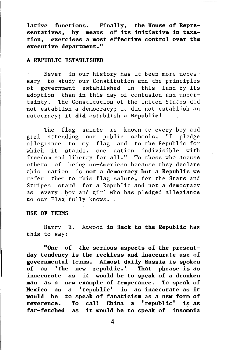**lative functions. Finally, the House of Representatives, by means of its initiative in taxation, exercises a most effective control over the executive department."**

#### A REPUBLIC ESTABLISHED

Never in our history has it been more necessary to study our Constitution and the principles of government established in this land by its adoption than in this day of confusion and uncertainty. The Constitution of the United States did not establish a democracy; it did not establish an autocracy; it **did** establish a **Republic!**

The flag salute is known to every boy and girl attending our public schools, "I pledge allegiance to my flag and to the Republic for which it stands, one nation indivisible with freedom and liberty for all." To those who accuse others of being un-American because they declare this nation is **not a democracy but a Republic** we refer them to this flag salute, for the Stars and Stripes stand for a Republic and not a democracy as every boy and girl who has pledged allegiance to our Flag fully knows.

#### **USE OF TERMS**

Harry E. Atwood in **Back to the Republic** has this to say:

**"One of the serious aspects of the presentday tendency is the reckless and inaccurate use of governmental terms. Almost daily Russia is spoken of as 'the new republic.' That phrase is as inaccurate as it would be to speak of a drunken man as a new example of temperance. To speak of Mexico as a 'republic' is as inaccurate as it would be to speak of fanaticism as a new form of reverence. To call China a 'republic' is as far-fetched as it would be to speak of insomnia**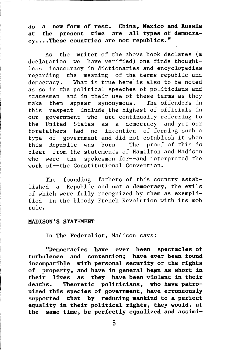**as a new form of rest. China, Mexico and Russia at the present time are all types of democracy...•These countries are** not· republics."

As the writer of the above book declares (a declaration we have verified) one finds thoughtless inaccuracy in dictionaries and encyclopedias regarding the meaning of the terms republic and democracy. What is true here is also to be noted as so in the political speeches of politicians and statesmen and in their use of these terms as they make them appear synonymous. The offenders in this respect include the highest of officials in our government who are continually referring to the United States as a democracy and yet our forefathers had no intention of forming such a type of government and did not establish it when this Republic was born. The proof of this is clear from the statements of Hamilton and Madison who were the spokesmen for--and interpreted the work of--the Constitutional Convention.

The founding fathers of this country established a Republic and **not a democracy,** the evils of which were fully recognized by them as exemplified in the bloody French Revolution with its mob rule.

#### MADISON'S STATEMENT

In The Federalist, Madison says:

**"Democracies have ever been spectacles of turbulence and contention; have ever been found incompatible with personal security or the rights**  $of$  **property, and have in general been as short in their lives as they have been violent in their deaths. Theoretic politicians, who have patronized this species of government, have erroneously supported that by reducing mankind to a perfect equality in their political rights, they would, at the same time, be perfectly equalized and assimi-**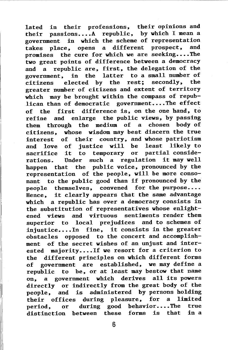lated in their professions, their opinions and their passions....A republic, by which I mean a government in which the scheme of representation<br>takes place, opens a different prospect, and takes place, opens a different prospect, promises the cure for which we are seeking....The two great points of difference between a democracy and a republic are, first, the delegation of the government, in the latter to a small number of<br>citizens, elected by the rest: secondly, the citizens elected by the rest; greater number of citizens and extent of territory which may be brought within the compass of republican than of democratic government....The effect of the first difference is, on the one hand, to refine and enlarge the public views, by passing them through the medium of a chosen body of citizens, whose wisdom may best discern the true interest of their country, and whose patriotism and love of justice will be least likely to sacrifice it to temporary or partial considerations. Under such a regulation it may well happen that the public voice, pronounced by the representation of the people, will be more consonant to the public good than if pronounced by the people themselves, convened for the purpose.... Hence, it clearly appears that the same advantage which a republic has over a democracy consists in the substitution of representatives whose enlight-<br>ened views and virtuous sentiments render them ened views and virtuous superior to local prejudices and to schemes of injustice....In fine, it consists in the greater obstacles opposed to the concert and accomplishment of the secret wishes of an unjust and interested majority.... If we resort for a criterion to the different principles on which different forms of government are established, we may define a republic to be, or at least may bestow that name on, a government which derives all its powers directly or indirectly from the great body of the people, and is administered by persons holding their offices during pleasure, for a limited period, or during good behavior....The true distinction between these forms is that in a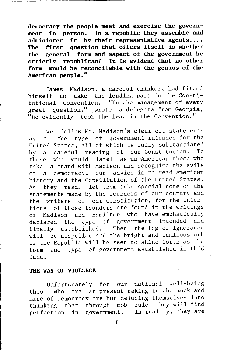**democracy the people meet and exercise the government in person. In a republic they assemble and administer it by their representative agents .... The first question that offers itself is whether the general form and aspect of the government be strictly republican? It is evident that no other form would be reconcilable with the genius of the American people."**

James Madison, a careful thinker, had fitted himself to take the leading part in the Constitutional Convention. "In the management of every great question," wrote a delegate from Georgia, "he evidently took the lead in the Convention."

We follow Mr. Madison's clear-cut statements as to the type of government intended for the United States, all of which is fully substantiated<br>by a careful reading of our Constitution. To by a careful reading of our Constitution. those who would label as un-American those who take a stand with Madison and recognize the evils of a democracy, our advice is to read American history and the Constitution of the United States. As they read, let them take special note of the statements made by the founders of our country and the writers of our Constitution, for the intentions of those founders are found in the writings of Madison and Hamilton who have emphatically declared the type of government intended and finally established. Then the fog of ignorance will be dispelled and the bright and luminous orb of the Republic will be seen to shine forth as the form and type of government established in this land.

#### THE WAY OF VIOLENCE

Unfortunately for our national well-being those who are at present raking in the muck and mire of democracy are but deluding themselves into<br>thinking that through mob rule they will find thinking that through mob perfection in government. In reality, they are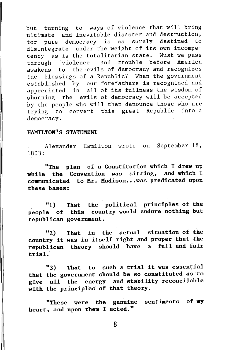but turning to ways of violence that will bring ultimate and inevitable disaster and destruction,<br>for nure democracy is as surely destined to for pure democracy is as surely destined disintegrate under the weight of its own incompetency as is the totalitarian state. Must we pass<br>through wiolence and trouble before America through violence and trouble before awakens to the evils of democracy and recognizes the blessings of a Republic? When the government established by our forefathers is recognized and appreciated in all of its fullness the wisdom of shunning the evils of democracy will be accepted by the people who will then denounce those who are trying to convert this great Republic into a democracy.

#### HAMILTON'S STATEMENT

Alexander Hamilton wrote on September 18, 1803:

"The plan of a Constitution which I drew up while the Convention was sitting, and which I communicated to Mr. Madison...was predicated upon these bases:

"l) people of this country would endure nothing but republican government. That the political principles of the

"2) country it was in itself right and proper that the republican theory should have a full and fair trial. That in the actual situation of the

that the government should be so constituted as to give all with the principles of that theory. "3) That to such a trial it was essential the energy and stability reconcilable

"These were the genuine sentiments of my heart, and upon them I acted."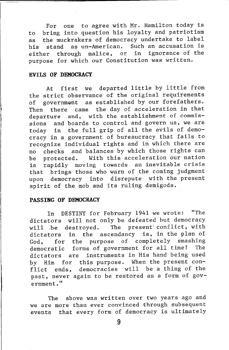For one to agree with Mr. Hamilton today is to bring into question his loyalty and patriotism as the muckrakers of democracy undertake to label his stand as un-American. Such an accusation is<br>either through malice, or in ignorance of the either through malice, or purpose for which our Constitution was written.

#### **EVILS OF DEMOCRACY**

At first we departed little by little from the strict observance of the original requirements of government as established by our forefathers. Then there came the day of acceleration in that departure and, with the establishment of commissions and boards to control and govern us, we are today in the full grip of all the evils of democracy in a government of bureaucracy that fails to recognize individual rights and in which there are no checks and balances by which those rights can be protected. With this acceleration our nation is rapidly moving towards an inevitable crisis that brings those who warn of the coming judgment upon democracy into disrepute with the present spirit of the mob and its ruling demigods.

#### PASSING OF DEMOCRACY

In DESTINY for February 1941 we wrote: "The dictators will not only be defeated but democracy will be destroyed. The present conflict, with dictators in the ascendancy is, in the plan of God, for the purpose of completely smashing democratic forms of government for all time! The dictators are instruments in His hand being used by Him for this purpose. When the present conflict ends, democracies will be a thing of the past, never again to be restored as a form of government."

The above was written over two years ago and we are more than ever convinced through subsequent events that every form of democracy is ultimately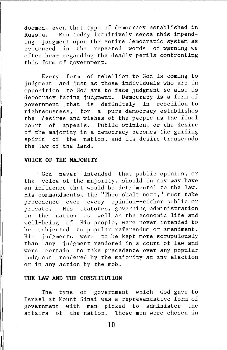doomed, even that type of democracy established in Russia. Men today intuitively sense this impending judgment upon the entire democratic system as evidenced in the repeated words of warning we often hear regarding the deadly perils confronting this form of government.

Every form of rebellion to God is coming to judgment and just as those individuals who are in opposition to God are to face judgment so also is democracy facing judgment. Democracy is a form of government .that is definitely in rebellion to righteousness, for a pure democracy establishes the desires and wishes of the people as the final court of appeals. Public opinion, or the desire of the majority in a democracy becomes the guiding spirit of the nation, and its desire transcends the law of the land.

#### VOICE OF THE MAJORITY

God never intended that public opinion, or the voice of the majority, should in any way have an influence that would be detrimental to the law. His commandments, the "Thou shalt nots," must take precedence over every opinion--either public or .<br>private. His statutes, governing administration in the nation as well as the economic life and well-being of His people, were never intended to be subjected to popular referendum or amendment. His judgments were to be kept more scrupulously than any judgment rendered in a court of law and were certain to take precedence over any popular judgment rendered by the majority at any election or in any action by the mob.

#### THE LAW AND THE CONSTITUTION

The type of government which God gave to Israel at Mount Sinai was a representative form of government with men picked to administer the affairs of the nation. These men were chosen in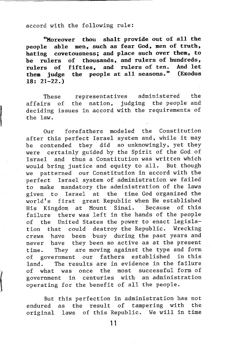#### accord with the following rule:

**"Moreover thou shalt provide out of all the people able men, such as fear God, men of truth, hating covetousness; and place such over them, to be rulers of thousands, and rulers of hundreds, rulers of fifties, and rulers of ten. And let them judge the people** at all **seasons.**" **18: 21-22.)**

These representatives administered the affairs of the nation, judging the people and deciding issues in accord with the requirements of the law.

Our forefathers modeled the Constitution after this perfect Israel system and, while it may be contended they did so unknowingly, yet they were certainly guided by the Spirit of the God of Israel and thus a Constitution was written which would bring justice and equity to all. But though we patterned our Constitution in accord with the perfect Israel system of administration we failed to make mandatory the administration of the laws given to Israel at the time God organized the world's first great Republic when He established His Kingdom at Mount Sinai. Because of this failure there was left in the hands of the people of the United States the power to enact legislation that could destroy the Republic. Wrecking crews have been busy during the past years and never have they been so active as at the present time. They are moving against the type and form of government our fathers established in this land. The results are in evidence in the failure of what was once the most successful form of government in centuries with an administration operating for the benefit of all the people.

But this perfection in administration has not endured original laws of this Republic. We will in timeas the result of tampering with the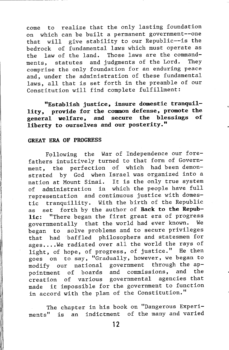come to realize that the only lasting foundation on which can be built a permanent government--one that will give stability to our Republic--is the bedrock of fundamental laws which must operate as the law of the land. Those laws are the command-<br>ments statutes and judgments of the Lord. They ments, statutes and judgments of the Lord. comprise the only foundation for an enduring peace and, under the administration of these fundamental laws, all that is set forth in the preamble of our Constitution will find complete fulfillment:

**"Establish justice, insure domestic tranquillity, provide for the common defense, promote the general welfare, and secure the blessings of liberty to ourselves and our posterity."**

#### **GREAT ERA OF PROGRESS**

Following the War of Independence our forefathers intuitively turned to that form of Government, the perfection of which had been demonstrated by God when Israel was organized into a nation at Mount Sinai. It is the only true system of administration in which the people have full representation and continuous justice with domestic tranquillity. With the birth of the Republic as set forth by the author of **Back to the Republic:** "There began the first great era of progress governmentally that the world had ever known. We began to solve problems and to secure privileges that had baffled philosophers and statesmen for ages....We radiated over all the world the rays of light, of hope, of progress, of justice." He then goes on to say, "Gradually, however, we began to modify our national government through the appointment of boards and commissions, and the creation of various governmental agencies that made it impossible for the government to function in accord with the plan of the Constitution."

The chapter in his book on "Dangerous Experiments" is an indictment of the many and varied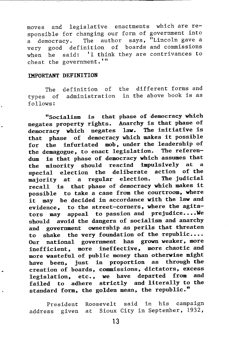moves and legislative enactments which are reponsible for changing our form of government into  $\blacksquare$  democracy. The author says, "Lincoln gave a very good definition of boards and commissions when he said: 'I think they are contrivances to cheat the government.'"

#### **IMPORTANT DEFINITION**

The ypes of administration in the above book is as: follows: definition of the different forms and

"Socialism is that phase of democracy which negates property rights. Anarchy is that phase of democracy which negates "law. The initiative is that phase of democracy which makes it possible for the infuriated mob, under the leadership of the demagogue, to enact legislation. The referendum is that phase of democracy which assumes that the minority should rescind impulsively at special election the deliberate action of the majority at a regular election. The judicial recall is that phase of democracy which makes it possible to take a case from the courtroom, where it may be decided in accordance with the law and evidence, to the street-corners, where the agitators may appeal to passion and prejudice.... We should avoid the dangers of socialism and anarchy and government ownership as perils that threaten to shake the very foundation of the republic.... Our national government has grown weaker, more inefficient, more ineffective, more chaotic and more wasteful of public money than otherwise might have been, just in proportion as through the creation of boards, commissions, dictators, excess legislation, etc., we have departed from and failed to adhere strictly and literally to the standard form, the golden mean, the republic."

President address given Roosevelt said in his campaign at Sioux City in September, 1932,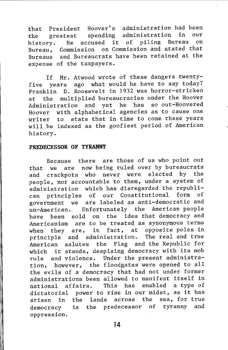that President Hoover's administration had been<br>the greatest spending administration in our the greatest spending administration in our<br>history the accused it of piling Bureau on history. He accused it of piling Bureau Bureau, Commission on Commission and stated that Bureaus and Bureaucrats have been retained at the expense of the taxpayers.

If Mr. Atwood wrote of these dangers twentyfive years ago what would he have to say today? Franklin D. Roosevelt in 1932 was horror-stricken at the multiplied bureaucracies under the Hoover Administration and yet he has so out-Hoovered Hoover with alphabetical agencies as to cause one writer to state that in time to come these years will be indexed as the goofiest period of American history.

#### PREDECESSOR OF TYRANNY

Because there are those of us who point out that we are now being ruled over by bureaucrats<br>and crackpots who never were elected by the and crackpots who never were elected by people, nor accountable to them, under a system of administration which has disregarded the republican principles of our Constitutional form of government we are labeled as anti-democratic and un-American. Unfortunately the American people have been sold on the idea that democracy and Americanism are to be treated as synonymous terms when they are, in fact, at opposite poles in principle and administration. The real and true American salutes the Flag and the Republic for which it stands, despising democracy with its mob rule and violence. Under the present administration, however, the floodgates were opened to all the evils of a democracy that had not under former administrations been allowed to manifest itself in national affairs. This has enabled a type of dictatorial power to rise in our midst, as it has arisen in the lands across the sea, for true democracy is the predecessor of tyranny and oppression.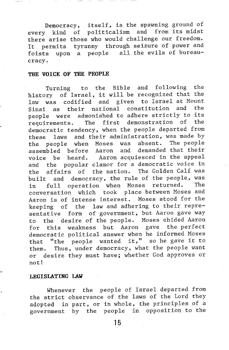Democracy, itself, is the spawning ground of every kind of politicalism and from its midst there arise those who would challenge our freedom. It permits tyranny through seizure of power and foists upon a people all the evils of bureaucracy.

#### THE VOICE OF THE PEOPLE

Turning to the Bible and following the history of Israel, it will be recognized that the law was codified and given to Israel-at-Mount<br>Sinai as their pational constitution and the Sinai as their national constitution people were admonished to adhere strictly to its<br>requirements The first demonstration of the requirements. The first demonstration of democratic tendency, when the people departed from these laws and their administration, was made by the people when Moses was absent. The people<br>assembled before Aaron and demanded that their assembled before Aaron and voice be heard. Aaron acquiesced in the appeal and the popular clamor for a democratic voice in the affairs of the nation. The Golden Calf was built and democracy, the rule of the people, was in full operation when Moses returned. The conversation which took place between Moses and Aaron is of intense interest. Moses stood for the keeping of the law and adhering to their representative form of government, but Aaron gave way to the desire of the people. Moses chided Aaron for this weakness but Aaron gave the perfect democratic political answer when he informed Moses that "the people wanted it," so he gave it to them. Thus, under democracy, what the people want or desire they must have; whether God approves or not!

#### LEGISLATING LAW

Whenever the people of Israel departed from the strict observance of the laws of the Lord they adopted in part, or in whole, the principles of a government by the people in opposition to the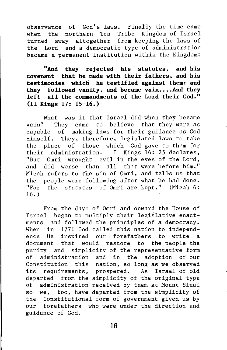observance of God's laws. Finally the time came when the northern Ten Tribe Kingdom of Israel turned away altogether from keeping the laws of the Lord and a democratic type of administration became a permanent institution within the Kingdom:

**"And they rejected his statutes, and his covenant that he made with their fathers, and his testimonies which he testified against them: and they followed vanity, and became vain •••.And they left all the commandments of the Lord their God." (II Kings 17: 15-16.)**

What was it that Israel did when they became vain? They came to believe that they were as capable of making laws for their guidance as God Himself. They, therefore, legislated laws to take the place of those which God gave to them for their administration. I Kings 16: 25 declares, "But Omri wrought evil in the eyes of the Lord, and did worse than all that were before him." Micah refers to the sin of Omri, and tells us that the people were following after what he had done. "For the statutes of Omri are kept." (Micah 6: 16.)

From the days of Omri and onward the House of Israel began to multiply their legislative enactments and followed the principles of a democracy. When in 1776 God called this nation to independence He inspired our forefathers to write a document that would restore to the people the purity and simplicity of the representative form of administration and in the adoption of our Constitution this nation, so long as we observed its requirements, prospered. As Israel of old departed from the simplicity of the original type of administration received by them at Mount Sinai so we, too, have departed from the simplicity of the Constitutional form of government given us by our forefathers who were under the direction and guidance of God.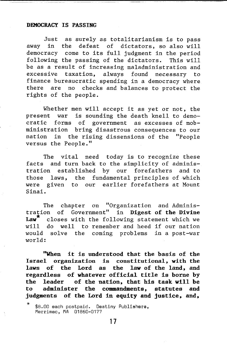#### DEMOCRACY IS PASSING

Just as surely as totalitarianism is to pass away in the defeat of dictators, so also will democracy come to its full judgment in the period following the passing of the dictators. This will be as a result of increasing maladministration and excessive taxation, always found necessary to finance bureaucratic spending in a democracy where there are no checks and balances to protect the rights of the people.

Whether men will accept it as yet or not, the present war is sounding the death knell to democratic forms of government as excesses of mobministration bring disastrous consequences to our nation in the rising dissensions of the "People versus the People."

The vital need today is to recognize these facts and turn back to the simplicity of administration established by our forefathers and to those laws, the fundamental principles of which were given to our earlier forefathers at Mount Sinai.

The chapter on "Organization and Administration of Government" in **Digest of the Divine** closes with the following statement which we will do well to remember and heed if our nation would solve the coming problems in a post-war world:

**"When it is understood that the basis of the Israel organization is constitutional, with the laws of the Lord as the law of the land, and regardless of whatever official title is borne by the leader of the nation, that his task will be to administer the commandments, statutes and judgments of the Lord in equity and justice, and,**

<sup>\$8.00</sup> each postpaid. Destiny Publishers, Merrimac, MA 01860-0177